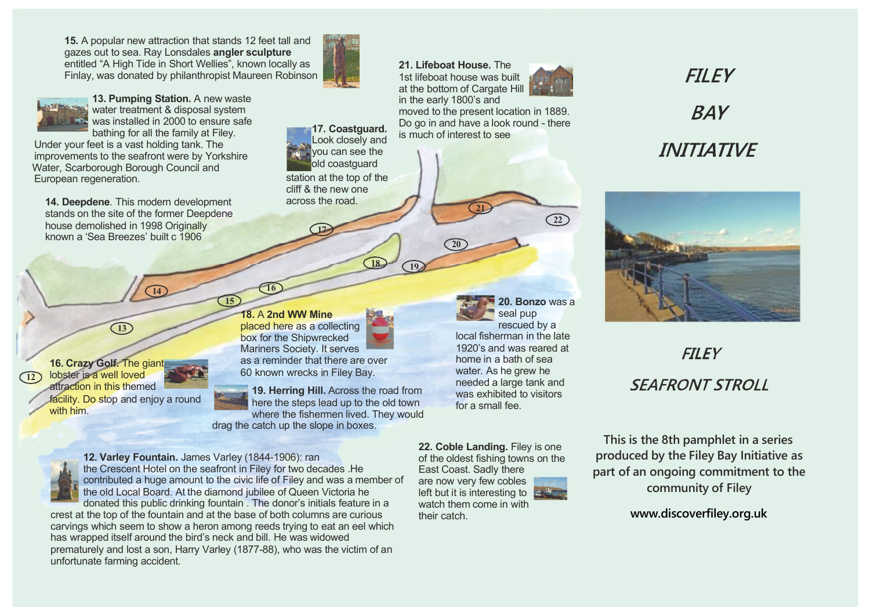**15.** A popular new attraction that stands 12 feet tall and gazes out to sea. Ray Lonsdales **angler sculpture** entitled "A High Tide in Short Wellies", known locally as Finlay, was donated by philanthropist Maureen Robinson



**13. Pumping Station.** A new waste water treatment & disposal system was installed in 2000 to ensure safe bathing for all the family at Filey.

Under your feet is a vast holding tank. The improvements to the seafront were by Yorkshire Water, Scarborough Borough Council and European regeneration.

**14. Deepdene**. This modern development stands on the site of the former Deepdene house demolished in 1998 Originally known a 'Sea Breezes' built c 1906

**14**



facility. Do stop and enjoy a round with him.

**13**



**17**

**19. Herring Hill.** Across the road from here the steps lead up to the old town where the fishermen lived. They would drag the catch up the slope in boxes.

**17. Coastguard.** Look closely and you can see the old coastguard station at the top of the cliff & the new one across the road.

**12. Varley Fountain.** James Varley (1844-1906): ran the Crescent Hotel on the seafront in Filey for two decades .He contributed a huge amount to the civic life of Filey and was a member of the old Local Board. At the diamond jubilee of Queen Victoria he donated this public drinking fountain . The donor's initials feature in a

**15**

crest at the top of the fountain and at the base of both columns are curious carvings which seem to show a heron among reeds trying to eat an eel which has wrapped itself around the bird's neck and bill. He was widowed prematurely and lost a son, Harry Varley (1877-88), who was the victim of an unfortunate farming accident.

**21. Lifeboat House.** The 1st lifeboat house was built at the bottom of Cargate Hill in the early 1800's and



moved to the present location in 1889. Do go in and have a look round - there is much of interest to see

**21**

**20**

## **FII FY BAY INITIATIVF**



## **FILEY SFAFRONT STROLL**

**This is the 8th pamphlet in a series produced by the Filey Bay Initiative as part of an ongoing commitment to the community of Filey**

**<www.discoverfiley.org.uk>**

**22. Coble Landing.** Filey is one of the oldest fishing towns on the East Coast. Sadly there are now very few cobles left but it is interesting to was exhibited to visitors for a small fee.

their catch.

**18 19**



**20. Bonzo** was a

**22**

seal pup rescued by a local fisherman in the late 1920's and was reared at home in a bath of sea water. As he grew he needed a large tank and